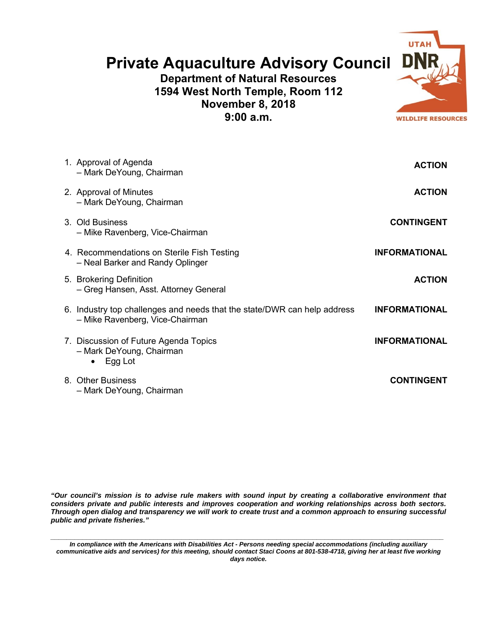## **Private Aquaculture Advisory Council**

**Department of Natural Resources 1594 West North Temple, Room 112 November 8, 2018 9:00 a.m.** 



| <b>ACTION</b>        | 1. Approval of Agenda<br>- Mark DeYoung, Chairman                                                           |  |
|----------------------|-------------------------------------------------------------------------------------------------------------|--|
| <b>ACTION</b>        | 2. Approval of Minutes<br>- Mark DeYoung, Chairman                                                          |  |
| <b>CONTINGENT</b>    | 3. Old Business<br>- Mike Ravenberg, Vice-Chairman                                                          |  |
| <b>INFORMATIONAL</b> | 4. Recommendations on Sterile Fish Testing<br>- Neal Barker and Randy Oplinger                              |  |
| <b>ACTION</b>        | 5. Brokering Definition<br>- Greg Hansen, Asst. Attorney General                                            |  |
| <b>INFORMATIONAL</b> | 6. Industry top challenges and needs that the state/DWR can help address<br>- Mike Ravenberg, Vice-Chairman |  |
| <b>INFORMATIONAL</b> | 7. Discussion of Future Agenda Topics<br>- Mark DeYoung, Chairman<br>Egg Lot                                |  |
| <b>CONTINGENT</b>    | 8. Other Business<br>- Mark DeYoung, Chairman                                                               |  |

*"Our council's mission is to advise rule makers with sound input by creating a collaborative environment that considers private and public interests and improves cooperation and working relationships across both sectors. Through open dialog and transparency we will work to create trust and a common approach to ensuring successful public and private fisheries."* 

*\_\_\_\_\_\_\_\_\_\_\_\_\_\_\_\_\_\_\_\_\_\_\_\_\_\_\_\_\_\_\_\_\_\_\_\_\_\_\_\_\_\_\_\_\_\_\_\_\_\_\_\_\_\_\_\_\_\_\_\_\_\_\_\_\_\_\_\_\_\_\_\_\_\_\_\_\_\_\_\_\_\_\_\_\_\_\_\_\_\_\_\_\_\_\_\_\_\_\_ In compliance with the Americans with Disabilities Act - Persons needing special accommodations (including auxiliary communicative aids and services) for this meeting, should contact Staci Coons at 801-538-4718, giving her at least five working days notice.*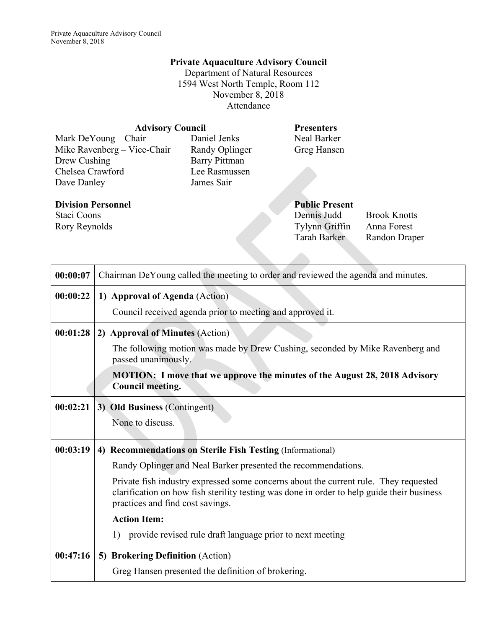## **Private Aquaculture Advisory Council**

Department of Natural Resources 1594 West North Temple, Room 112 November 8, 2018 Attendance

| <b>Advisory Council</b>     | <b>Presenters</b>    |                       |                     |
|-----------------------------|----------------------|-----------------------|---------------------|
| Mark DeYoung – Chair        | Daniel Jenks         | Neal Barker           |                     |
| Mike Ravenberg - Vice-Chair | Randy Oplinger       | Greg Hansen           |                     |
| Drew Cushing                | <b>Barry Pittman</b> |                       |                     |
| Chelsea Crawford            | Lee Rasmussen        |                       |                     |
| Dave Danley                 | James Sair           |                       |                     |
| <b>Division Personnel</b>   |                      | <b>Public Present</b> |                     |
| Staci Coons                 |                      | Dennis Judd           | <b>Brook Knotts</b> |
| Rory Reynolds               |                      | Tylynn Griffin        | Anna Forest         |
|                             |                      | <b>Tarah Barker</b>   | Randon Draper       |
|                             |                      |                       |                     |

| 00:00:07 | Chairman DeYoung called the meeting to order and reviewed the agenda and minutes.                                                                                                                                      |
|----------|------------------------------------------------------------------------------------------------------------------------------------------------------------------------------------------------------------------------|
| 00:00:22 | 1) Approval of Agenda (Action)                                                                                                                                                                                         |
|          | Council received agenda prior to meeting and approved it.                                                                                                                                                              |
| 00:01:28 | 2) Approval of Minutes (Action)                                                                                                                                                                                        |
|          | The following motion was made by Drew Cushing, seconded by Mike Ravenberg and<br>passed unanimously.                                                                                                                   |
|          | MOTION: I move that we approve the minutes of the August 28, 2018 Advisory<br>Council meeting.                                                                                                                         |
| 00:02:21 | 3) Old Business (Contingent)                                                                                                                                                                                           |
|          | None to discuss.                                                                                                                                                                                                       |
| 00:03:19 | 4) Recommendations on Sterile Fish Testing (Informational)                                                                                                                                                             |
|          | Randy Oplinger and Neal Barker presented the recommendations.                                                                                                                                                          |
|          | Private fish industry expressed some concerns about the current rule. They requested<br>clarification on how fish sterility testing was done in order to help guide their business<br>practices and find cost savings. |
|          | <b>Action Item:</b>                                                                                                                                                                                                    |
|          | 1) provide revised rule draft language prior to next meeting                                                                                                                                                           |
| 00:47:16 | 5) Brokering Definition (Action)                                                                                                                                                                                       |
|          | Greg Hansen presented the definition of brokering.                                                                                                                                                                     |